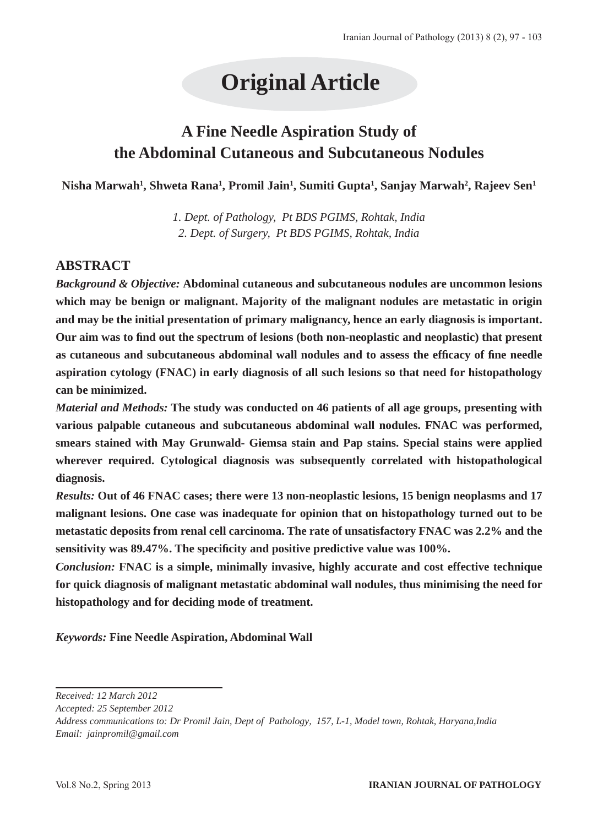# **Original Article**

# **A Fine Needle Aspiration Study of the Abdominal Cutaneous and Subcutaneous Nodules**

**Nisha Marwah1 , Shweta Rana1 , Promil Jain1 , Sumiti Gupta1 , Sanjay Marwah2 , Rajeev Sen1**

*1. Dept. of Pathology, Pt BDS PGIMS, Rohtak, India 2. Dept. of Surgery, Pt BDS PGIMS, Rohtak, India*

# **ABSTRACT**

*Background & Objective:* **Abdominal cutaneous and subcutaneous nodules are uncommon lesions which may be benign or malignant. Majority of the malignant nodules are metastatic in origin and may be the initial presentation of primary malignancy, hence an early diagnosis is important. Our aim was to find out the spectrum of lesions (both non-neoplastic and neoplastic) that present as cutaneous and subcutaneous abdominal wall nodules and to assess the efficacy of fine needle aspiration cytology (FNAC) in early diagnosis of all such lesions so that need for histopathology can be minimized.**

*Material and Methods:* **The study was conducted on 46 patients of all age groups, presenting with various palpable cutaneous and subcutaneous abdominal wall nodules. FNAC was performed, smears stained with May Grunwald- Giemsa stain and Pap stains. Special stains were applied wherever required. Cytological diagnosis was subsequently correlated with histopathological diagnosis.** 

*Results:* **Out of 46 FNAC cases; there were 13 non-neoplastic lesions, 15 benign neoplasms and 17 malignant lesions. One case was inadequate for opinion that on histopathology turned out to be metastatic deposits from renal cell carcinoma. The rate of unsatisfactory FNAC was 2.2% and the sensitivity was 89.47%. The specificity and positive predictive value was 100%.**

*Conclusion:* **FNAC is a simple, minimally invasive, highly accurate and cost effective technique for quick diagnosis of malignant metastatic abdominal wall nodules, thus minimising the need for histopathology and for deciding mode of treatment.**

*Keywords:* **Fine Needle Aspiration, Abdominal Wall**

*Received: 12 March 2012*

*Accepted: 25 September 2012*

*Address communications to: Dr Promil Jain, Dept of Pathology, 157, L-1, Model town, Rohtak, Haryana,India Email: jainpromil@gmail.com*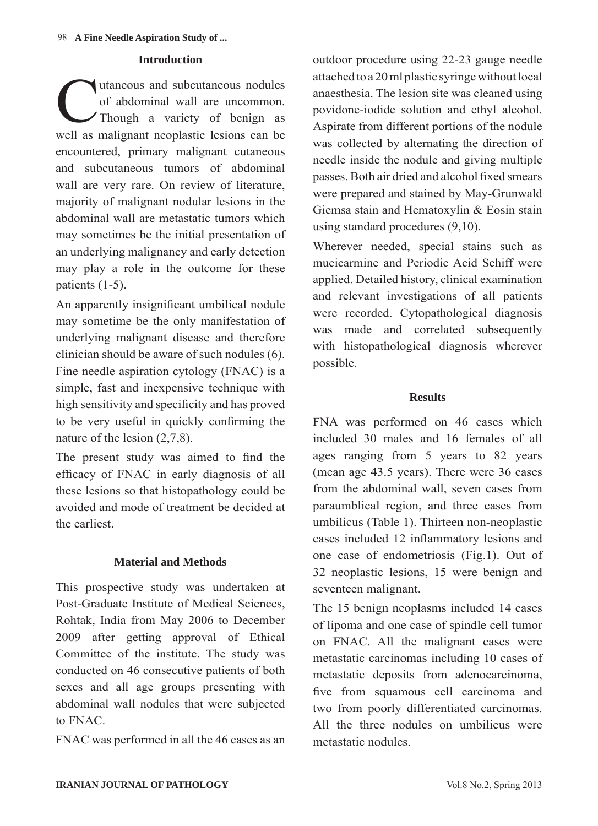#### **Introduction**

Though a variety of benign as<br>
Though a variety of benign as of abdominal wall are uncommon. Though a variety of benign as well as malignant neoplastic lesions can be encountered, primary malignant cutaneous and subcutaneous tumors of abdominal wall are very rare. On review of literature, majority of malignant nodular lesions in the abdominal wall are metastatic tumors which may sometimes be the initial presentation of an underlying malignancy and early detection may play a role in the outcome for these patients (1-5).

An apparently insignificant umbilical nodule may sometime be the only manifestation of underlying malignant disease and therefore clinician should be aware of such nodules (6). Fine needle aspiration cytology (FNAC) is a simple, fast and inexpensive technique with high sensitivity and specificity and has proved to be very useful in quickly confirming the nature of the lesion (2,7,8).

The present study was aimed to find the efficacy of FNAC in early diagnosis of all these lesions so that histopathology could be avoided and mode of treatment be decided at the earliest.

#### **Material and Methods**

This prospective study was undertaken at Post-Graduate Institute of Medical Sciences, Rohtak, India from May 2006 to December 2009 after getting approval of Ethical Committee of the institute. The study was conducted on 46 consecutive patients of both sexes and all age groups presenting with abdominal wall nodules that were subjected to FNAC.

FNAC was performed in all the 46 cases as an

outdoor procedure using 22-23 gauge needle attached to a 20 ml plastic syringe without local anaesthesia. The lesion site was cleaned using povidone-iodide solution and ethyl alcohol. Aspirate from different portions of the nodule was collected by alternating the direction of needle inside the nodule and giving multiple passes. Both air dried and alcohol fixed smears were prepared and stained by May-Grunwald Giemsa stain and Hematoxylin & Eosin stain using standard procedures (9,10).

Wherever needed, special stains such as mucicarmine and Periodic Acid Schiff were applied. Detailed history, clinical examination and relevant investigations of all patients were recorded. Cytopathological diagnosis was made and correlated subsequently with histopathological diagnosis wherever possible.

#### **Results**

FNA was performed on 46 cases which included 30 males and 16 females of all ages ranging from 5 years to 82 years (mean age 43.5 years). There were 36 cases from the abdominal wall, seven cases from paraumblical region, and three cases from umbilicus (Table 1). Thirteen non-neoplastic cases included 12 inflammatory lesions and one case of endometriosis (Fig.1). Out of 32 neoplastic lesions, 15 were benign and seventeen malignant.

The 15 benign neoplasms included 14 cases of lipoma and one case of spindle cell tumor on FNAC. All the malignant cases were metastatic carcinomas including 10 cases of metastatic deposits from adenocarcinoma, five from squamous cell carcinoma and two from poorly differentiated carcinomas. All the three nodules on umbilicus were metastatic nodules.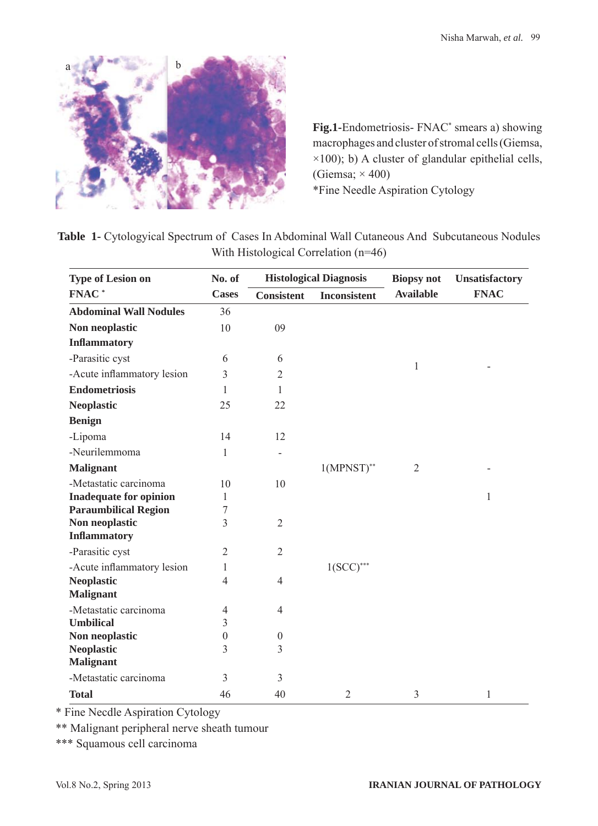

Fig.1-Endometriosis- FNAC<sup>\*</sup> smears a) showing macrophages and cluster of stromal cells (Giemsa,  $\times$ 100); b) A cluster of glandular epithelial cells, (Giemsa;  $\times$  400) \*Fine Needle Aspiration Cytology

Table 1- Cytologyical Spectrum of Cases In Abdominal Wall Cutaneous And Subcutaneous Nodules With Histological Correlation (n=46)

| <b>Type of Lesion on</b>      | No. of           | <b>Histological Diagnosis</b> |                     | <b>Biopsy not</b> | <b>Unsatisfactory</b> |
|-------------------------------|------------------|-------------------------------|---------------------|-------------------|-----------------------|
| FNAC <sup>*</sup>             | <b>Cases</b>     | <b>Consistent</b>             | <b>Inconsistent</b> | <b>Available</b>  | <b>FNAC</b>           |
| <b>Abdominal Wall Nodules</b> | 36               |                               |                     |                   |                       |
| Non neoplastic                | 10               | 09                            |                     |                   |                       |
| <b>Inflammatory</b>           |                  |                               |                     |                   |                       |
| -Parasitic cyst               | 6                | 6                             |                     |                   |                       |
| -Acute inflammatory lesion    | 3                | $\overline{2}$                |                     | $\mathbf{1}$      |                       |
| <b>Endometriosis</b>          | 1                | 1                             |                     |                   |                       |
| <b>Neoplastic</b>             | 25               | 22                            |                     |                   |                       |
| <b>Benign</b>                 |                  |                               |                     |                   |                       |
| -Lipoma                       | 14               | 12                            |                     |                   |                       |
| -Neurilemmoma                 | 1                |                               |                     |                   |                       |
| <b>Malignant</b>              |                  |                               | $1(MPNST)*$         | $\overline{2}$    |                       |
| -Metastatic carcinoma         | 10               | 10                            |                     |                   |                       |
| <b>Inadequate for opinion</b> | 1                |                               |                     |                   | $\mathbf{1}$          |
| <b>Paraumbilical Region</b>   | 7                |                               |                     |                   |                       |
| Non neoplastic                | 3                | $\overline{2}$                |                     |                   |                       |
| <b>Inflammatory</b>           |                  |                               |                     |                   |                       |
| -Parasitic cyst               | $\overline{2}$   | $\overline{2}$                |                     |                   |                       |
| -Acute inflammatory lesion    | 1                |                               | $1(SCC)$ ***        |                   |                       |
| <b>Neoplastic</b>             | $\overline{4}$   | $\overline{4}$                |                     |                   |                       |
| <b>Malignant</b>              |                  |                               |                     |                   |                       |
| -Metastatic carcinoma         | 4                | $\overline{4}$                |                     |                   |                       |
| <b>Umbilical</b>              | $\overline{3}$   |                               |                     |                   |                       |
| Non neoplastic                | $\boldsymbol{0}$ | $\boldsymbol{0}$              |                     |                   |                       |
| <b>Neoplastic</b>             | 3                | 3                             |                     |                   |                       |
| <b>Malignant</b>              |                  |                               |                     |                   |                       |
| -Metastatic carcinoma         | 3                | 3                             |                     |                   |                       |
| <b>Total</b>                  | 46               | 40                            | $\overline{2}$      | 3                 | $\mathbf{1}$          |

\* Fine Necdle Aspiration Cytology

\*\* Malignant peripheral nerve sheath tumour

\*\*\* Squamous cell carcinoma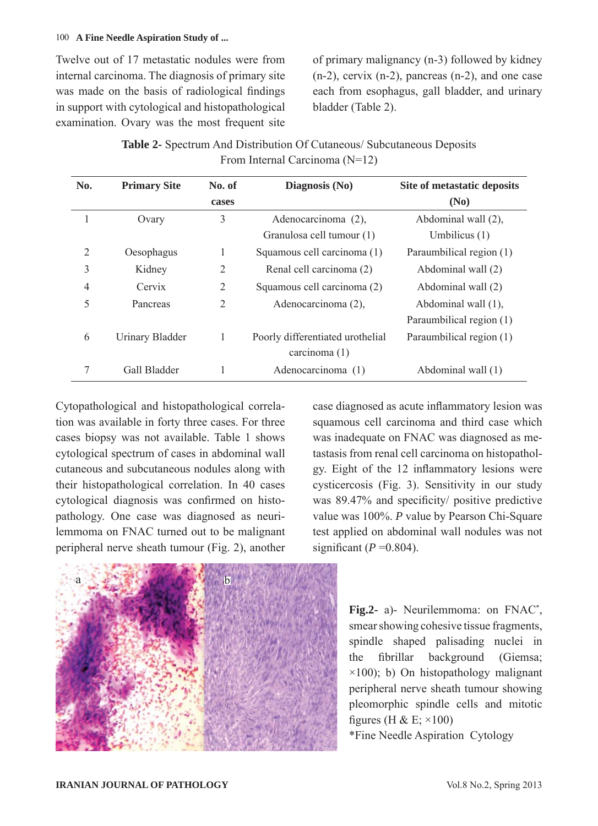#### 100 **A Fine Needle Aspiration Study of ...**

Twelve out of 17 metastatic nodules were from internal carcinoma. The diagnosis of primary site was made on the basis of radiological findings in support with cytological and histopathological examination. Ovary was the most frequent site of primary malignancy (n-3) followed by kidney (n-2), cervix (n-2), pancreas (n-2), and one case each from esophagus, gall bladder, and urinary bladder (Table 2).

| <b>Table 2-</b> Spectrum And Distribution Of Cutaneous/Subcutaneous Deposits |
|------------------------------------------------------------------------------|
| From Internal Carcinoma $(N=12)$                                             |

| No. | <b>Primary Site</b>    | No. of         | Diagnosis (No)                   | Site of metastatic deposits |
|-----|------------------------|----------------|----------------------------------|-----------------------------|
|     |                        | cases          |                                  | (No)                        |
|     | Ovary                  | 3              | Adenocarcinoma (2),              | Abdominal wall (2),         |
|     |                        |                | Granulosa cell tumour (1)        | Umbilicus $(1)$             |
| 2   | Oesophagus             | 1              | Squamous cell carcinoma (1)      | Paraumbilical region (1)    |
| 3   | Kidney                 | $\overline{2}$ | Renal cell carcinoma (2)         | Abdominal wall (2)          |
| 4   | Cervix                 | $\overline{2}$ | Squamous cell carcinoma (2)      | Abdominal wall (2)          |
| 5   | Pancreas               | $\overline{2}$ | Adenocarcinoma (2),              | Abdominal wall (1),         |
|     |                        |                |                                  | Paraumbilical region (1)    |
| 6   | <b>Urinary Bladder</b> | 1              | Poorly differentiated urothelial | Paraumbilical region (1)    |
|     |                        |                | carcinoma $(1)$                  |                             |
| 7   | Gall Bladder           |                | Adenocarcinoma (1)               | Abdominal wall (1)          |

Cytopathological and histopathological correlation was available in forty three cases. For three cases biopsy was not available. Table 1 shows cytological spectrum of cases in abdominal wall cutaneous and subcutaneous nodules along with their histopathological correlation. In 40 cases cytological diagnosis was confirmed on histopathology. One case was diagnosed as neurilemmoma on FNAC turned out to be malignant peripheral nerve sheath tumour (Fig. 2), another case diagnosed as acute inflammatory lesion was squamous cell carcinoma and third case which was inadequate on FNAC was diagnosed as metastasis from renal cell carcinoma on histopatholgy. Eight of the 12 inflammatory lesions were cysticercosis (Fig. 3). Sensitivity in our study was 89.47% and specificity/ positive predictive value was 100%. *P* value by Pearson Chi-Square test applied on abdominal wall nodules was not significant  $(P=0.804)$ .



Fig.2- a)- Neurilemmoma: on FNAC<sup>\*</sup>, smear showing cohesive tissue fragments, spindle shaped palisading nuclei in the fibrillar background (Giemsa;  $\times$ 100); b) On histopathology malignant peripheral nerve sheath tumour showing pleomorphic spindle cells and mitotic figures (H & E;  $\times$ 100)

\*Fine Needle Aspiration Cytology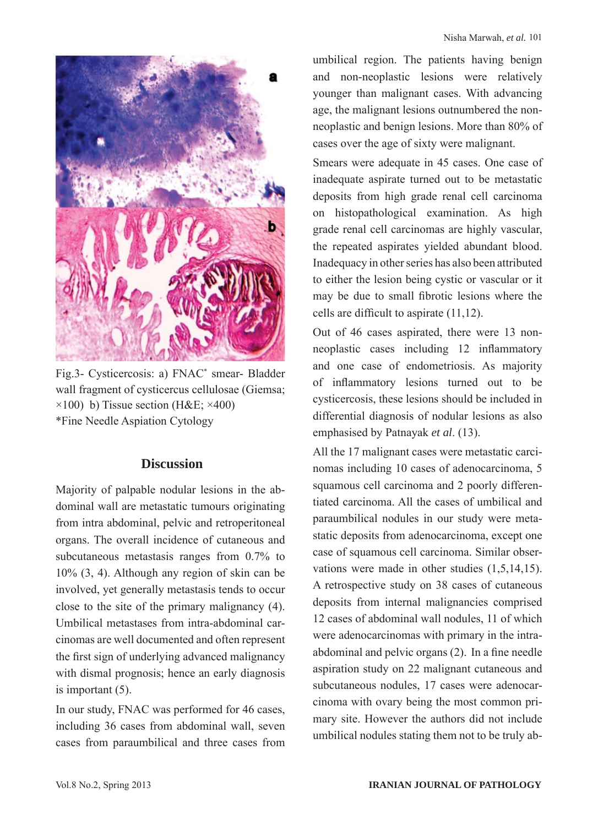

Fig.3- Cysticercosis: a) FNAC\* smear- Bladder wall fragment of cysticercus cellulosae (Giemsa;  $\times$ 100) b) Tissue section (H&E;  $\times$ 400) \*Fine Needle Aspiation Cytology

#### **Discussion**

Majority of palpable nodular lesions in the abdominal wall are metastatic tumours originating from intra abdominal, pelvic and retroperitoneal organs. The overall incidence of cutaneous and subcutaneous metastasis ranges from 0.7% to 10% (3, 4). Although any region of skin can be involved, yet generally metastasis tends to occur close to the site of the primary malignancy (4). Umbilical metastases from intra-abdominal carcinomas are well documented and often represent the first sign of underlying advanced malignancy with dismal prognosis; hence an early diagnosis is important (5).

In our study, FNAC was performed for 46 cases, including 36 cases from abdominal wall, seven cases from paraumbilical and three cases from umbilical region. The patients having benign and non-neoplastic lesions were relatively younger than malignant cases. With advancing age, the malignant lesions outnumbered the nonneoplastic and benign lesions. More than 80% of cases over the age of sixty were malignant.

Smears were adequate in 45 cases. One case of inadequate aspirate turned out to be metastatic deposits from high grade renal cell carcinoma on histopathological examination. As high grade renal cell carcinomas are highly vascular, the repeated aspirates yielded abundant blood. Inadequacy in other series has also been attributed to either the lesion being cystic or vascular or it may be due to small fibrotic lesions where the cells are difficult to aspirate (11,12).

Out of 46 cases aspirated, there were 13 nonneoplastic cases including 12 inflammatory and one case of endometriosis. As majority of inflammatory lesions turned out to be cysticercosis, these lesions should be included in differential diagnosis of nodular lesions as also emphasised by Patnayak *et al*. (13).

All the 17 malignant cases were metastatic carcinomas including 10 cases of adenocarcinoma, 5 squamous cell carcinoma and 2 poorly differentiated carcinoma. All the cases of umbilical and paraumbilical nodules in our study were metastatic deposits from adenocarcinoma, except one case of squamous cell carcinoma. Similar observations were made in other studies (1,5,14,15). A retrospective study on 38 cases of cutaneous deposits from internal malignancies comprised 12 cases of abdominal wall nodules, 11 of which were adenocarcinomas with primary in the intraabdominal and pelvic organs (2). In a fine needle aspiration study on 22 malignant cutaneous and subcutaneous nodules, 17 cases were adenocarcinoma with ovary being the most common primary site. However the authors did not include umbilical nodules stating them not to be truly ab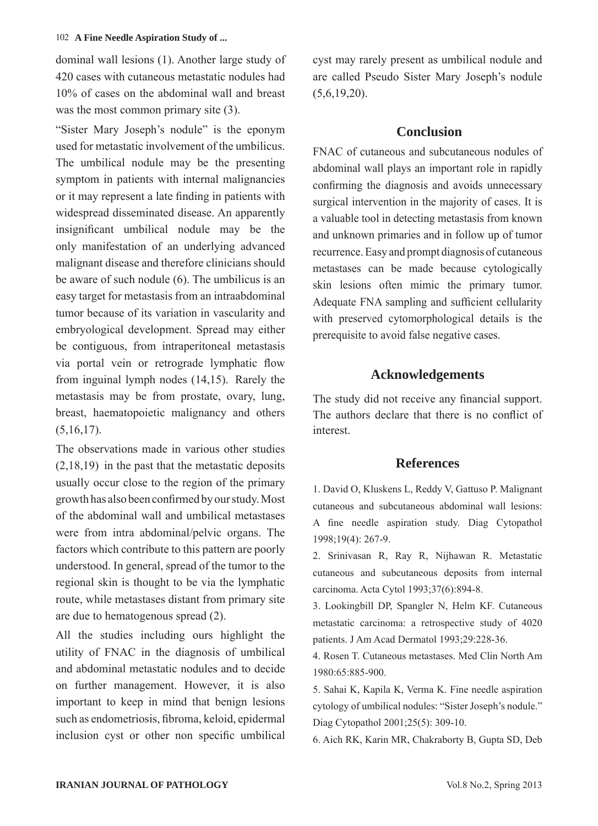dominal wall lesions (1). Another large study of 420 cases with cutaneous metastatic nodules had 10% of cases on the abdominal wall and breast was the most common primary site  $(3)$ .

"Sister Mary Joseph's nodule" is the eponym used for metastatic involvement of the umbilicus. The umbilical nodule may be the presenting symptom in patients with internal malignancies or it may represent a late finding in patients with widespread disseminated disease. An apparently insignificant umbilical nodule may be the only manifestation of an underlying advanced malignant disease and therefore clinicians should be aware of such nodule (6). The umbilicus is an easy target for metastasis from an intraabdominal tumor because of its variation in vascularity and embryological development. Spread may either be contiguous, from intraperitoneal metastasis via portal vein or retrograde lymphatic flow from inguinal lymph nodes (14,15). Rarely the metastasis may be from prostate, ovary, lung, breast, haematopoietic malignancy and others  $(5,16,17)$ .

The observations made in various other studies (2,18,19) in the past that the metastatic deposits usually occur close to the region of the primary growth has also been confirmed by our study. Most of the abdominal wall and umbilical metastases were from intra abdominal/pelvic organs. The factors which contribute to this pattern are poorly understood. In general, spread of the tumor to the regional skin is thought to be via the lymphatic route, while metastases distant from primary site are due to hematogenous spread (2).

All the studies including ours highlight the utility of FNAC in the diagnosis of umbilical and abdominal metastatic nodules and to decide on further management. However, it is also important to keep in mind that benign lesions such as endometriosis, fibroma, keloid, epidermal inclusion cyst or other non specific umbilical cyst may rarely present as umbilical nodule and are called Pseudo Sister Mary Joseph's nodule  $(5,6,19,20)$ .

### **Conclusion**

FNAC of cutaneous and subcutaneous nodules of abdominal wall plays an important role in rapidly confirming the diagnosis and avoids unnecessary surgical intervention in the majority of cases. It is a valuable tool in detecting metastasis from known and unknown primaries and in follow up of tumor recurrence. Easy and prompt diagnosis of cutaneous metastases can be made because cytologically skin lesions often mimic the primary tumor. Adequate FNA sampling and sufficient cellularity with preserved cytomorphological details is the prerequisite to avoid false negative cases.

# **Acknowledgements**

The study did not receive any financial support. The authors declare that there is no conflict of interest.

# **References**

1. David O, Kluskens L, Reddy V, Gattuso P. Malignant cutaneous and subcutaneous abdominal wall lesions: A fine needle aspiration study. Diag Cytopathol 1998;19(4): 267-9.

2. Srinivasan R, Ray R, Nijhawan R. Metastatic cutaneous and subcutaneous deposits from internal carcinoma. Acta Cytol 1993;37(6):894-8.

3. Lookingbill DP, Spangler N, Helm KF. Cutaneous metastatic carcinoma: a retrospective study of 4020 patients. J Am Acad Dermatol 1993;29:228-36.

4. Rosen T. Cutaneous metastases. Med Clin North Am 1980:65:885-900.

5. Sahai K, Kapila K, Verma K. Fine needle aspiration cytology of umbilical nodules: "Sister Joseph's nodule." Diag Cytopathol 2001;25(5): 309-10.

6. Aich RK, Karin MR, Chakraborty B, Gupta SD, Deb